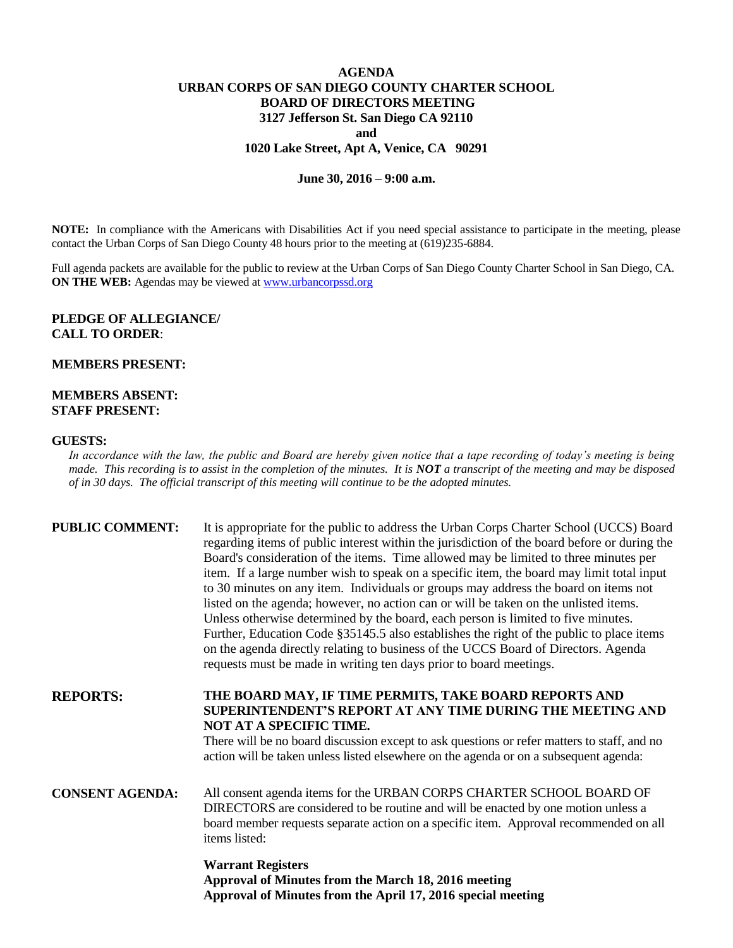# **AGENDA URBAN CORPS OF SAN DIEGO COUNTY CHARTER SCHOOL BOARD OF DIRECTORS MEETING 3127 Jefferson St. San Diego CA 92110 and 1020 Lake Street, Apt A, Venice, CA 90291**

### **June 30, 2016 – 9:00 a.m.**

**NOTE:** In compliance with the Americans with Disabilities Act if you need special assistance to participate in the meeting, please contact the Urban Corps of San Diego County 48 hours prior to the meeting at (619)235-6884.

Full agenda packets are available for the public to review at the Urban Corps of San Diego County Charter School in San Diego, CA. **ON THE WEB:** Agendas may be viewed at **www.urbancorpssd.org** 

### **PLEDGE OF ALLEGIANCE/ CALL TO ORDER**:

### **MEMBERS PRESENT:**

## **MEMBERS ABSENT: STAFF PRESENT:**

#### **GUESTS:**

*In accordance with the law, the public and Board are hereby given notice that a tape recording of today's meeting is being made. This recording is to assist in the completion of the minutes. It is NOT a transcript of the meeting and may be disposed of in 30 days. The official transcript of this meeting will continue to be the adopted minutes.*

| <b>PUBLIC COMMENT:</b> | It is appropriate for the public to address the Urban Corps Charter School (UCCS) Board<br>regarding items of public interest within the jurisdiction of the board before or during the<br>Board's consideration of the items. Time allowed may be limited to three minutes per<br>item. If a large number wish to speak on a specific item, the board may limit total input<br>to 30 minutes on any item. Individuals or groups may address the board on items not<br>listed on the agenda; however, no action can or will be taken on the unlisted items.<br>Unless otherwise determined by the board, each person is limited to five minutes.<br>Further, Education Code §35145.5 also establishes the right of the public to place items<br>on the agenda directly relating to business of the UCCS Board of Directors. Agenda<br>requests must be made in writing ten days prior to board meetings. |
|------------------------|----------------------------------------------------------------------------------------------------------------------------------------------------------------------------------------------------------------------------------------------------------------------------------------------------------------------------------------------------------------------------------------------------------------------------------------------------------------------------------------------------------------------------------------------------------------------------------------------------------------------------------------------------------------------------------------------------------------------------------------------------------------------------------------------------------------------------------------------------------------------------------------------------------|
| <b>REPORTS:</b>        | THE BOARD MAY, IF TIME PERMITS, TAKE BOARD REPORTS AND<br>SUPERINTENDENT'S REPORT AT ANY TIME DURING THE MEETING AND<br>NOT AT A SPECIFIC TIME.<br>There will be no board discussion except to ask questions or refer matters to staff, and no<br>action will be taken unless listed elsewhere on the agenda or on a subsequent agenda:                                                                                                                                                                                                                                                                                                                                                                                                                                                                                                                                                                  |
| <b>CONSENT AGENDA:</b> | All consent agenda items for the URBAN CORPS CHARTER SCHOOL BOARD OF<br>DIRECTORS are considered to be routine and will be enacted by one motion unless a<br>board member requests separate action on a specific item. Approval recommended on all<br>items listed:                                                                                                                                                                                                                                                                                                                                                                                                                                                                                                                                                                                                                                      |
|                        | <b>Warrant Registers</b>                                                                                                                                                                                                                                                                                                                                                                                                                                                                                                                                                                                                                                                                                                                                                                                                                                                                                 |

**Approval of Minutes from the March 18, 2016 meeting Approval of Minutes from the April 17, 2016 special meeting**